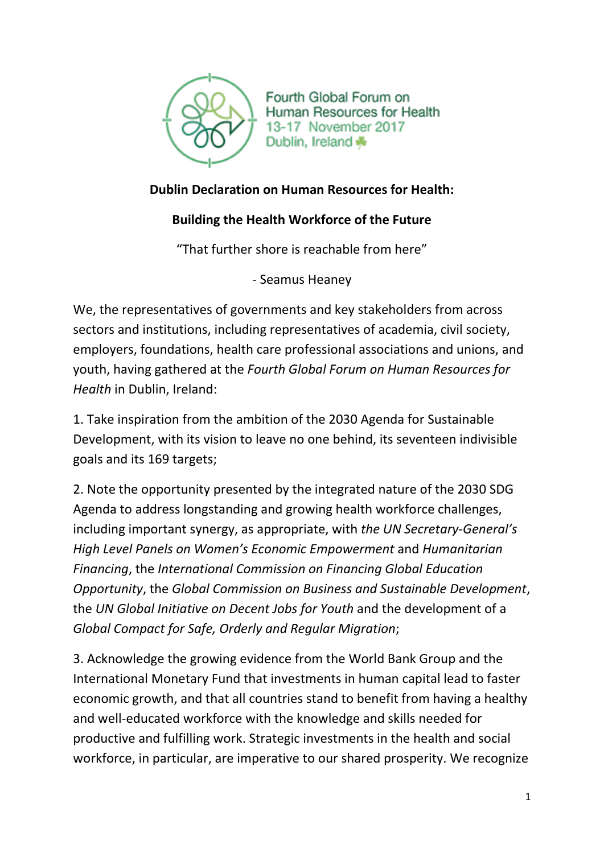

Fourth Global Forum on Human Resources for Health 13-17 November 2017 Dublin, Ireland \*

## **Dublin Declaration on Human Resources for Health:**

## **Building the Health Workforce of the Future**

"That further shore is reachable from here"

- Seamus Heaney

We, the representatives of governments and key stakeholders from across sectors and institutions, including representatives of academia, civil society, employers, foundations, health care professional associations and unions, and youth, having gathered at the *Fourth Global Forum on Human Resources for Health* in Dublin, Ireland:

1. Take inspiration from the ambition of the 2030 Agenda for Sustainable Development, with its vision to leave no one behind, its seventeen indivisible goals and its 169 targets;

2. Note the opportunity presented by the integrated nature of the 2030 SDG Agenda to address longstanding and growing health workforce challenges, including important synergy, as appropriate, with *the UN Secretary-General's High Level Panels on Women's Economic Empowerment* and *Humanitarian Financing*, the *International Commission on Financing Global Education Opportunity*, the *Global Commission on Business and Sustainable Development*, the *UN Global Initiative on Decent Jobs for Youth* and the development of a *Global Compact for Safe, Orderly and Regular Migration*;

3. Acknowledge the growing evidence from the World Bank Group and the International Monetary Fund that investments in human capital lead to faster economic growth, and that all countries stand to benefit from having a healthy and well-educated workforce with the knowledge and skills needed for productive and fulfilling work. Strategic investments in the health and social workforce, in particular, are imperative to our shared prosperity. We recognize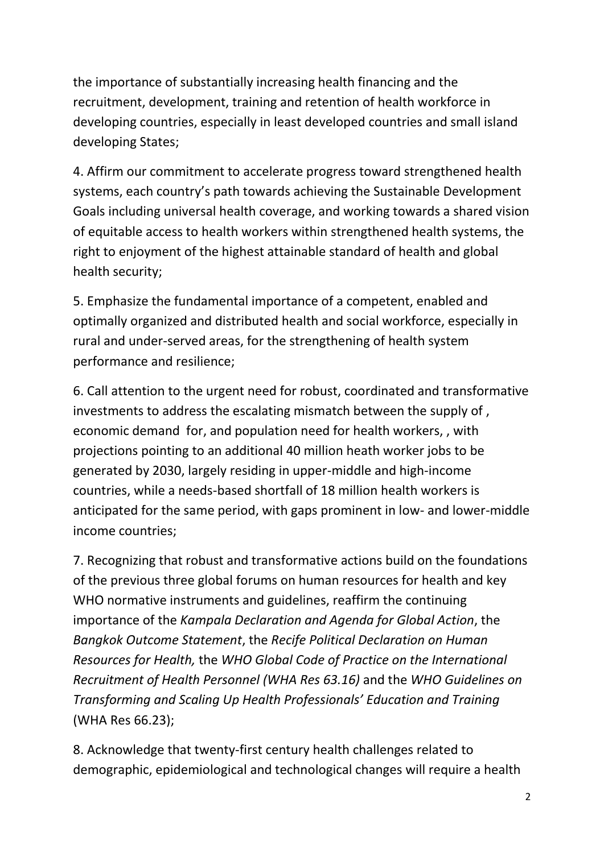the importance of substantially increasing health financing and the recruitment, development, training and retention of health workforce in developing countries, especially in least developed countries and small island developing States;

4. Affirm our commitment to accelerate progress toward strengthened health systems, each country's path towards achieving the Sustainable Development Goals including universal health coverage, and working towards a shared vision of equitable access to health workers within strengthened health systems, the right to enjoyment of the highest attainable standard of health and global health security;

5. Emphasize the fundamental importance of a competent, enabled and optimally organized and distributed health and social workforce, especially in rural and under-served areas, for the strengthening of health system performance and resilience;

6. Call attention to the urgent need for robust, coordinated and transformative investments to address the escalating mismatch between the supply of , economic demand for, and population need for health workers, , with projections pointing to an additional 40 million heath worker jobs to be generated by 2030, largely residing in upper-middle and high-income countries, while a needs-based shortfall of 18 million health workers is anticipated for the same period, with gaps prominent in low- and lower-middle income countries;

7. Recognizing that robust and transformative actions build on the foundations of the previous three global forums on human resources for health and key WHO normative instruments and guidelines, reaffirm the continuing importance of the *Kampala Declaration and Agenda for Global Action*, the *Bangkok Outcome Statement*, the *Recife Political Declaration on Human Resources for Health,* the *WHO Global Code of Practice on the International Recruitment of Health Personnel (WHA Res 63.16)* and the *WHO Guidelines on Transforming and Scaling Up Health Professionals' Education and Training* (WHA Res 66.23);

8. Acknowledge that twenty-first century health challenges related to demographic, epidemiological and technological changes will require a health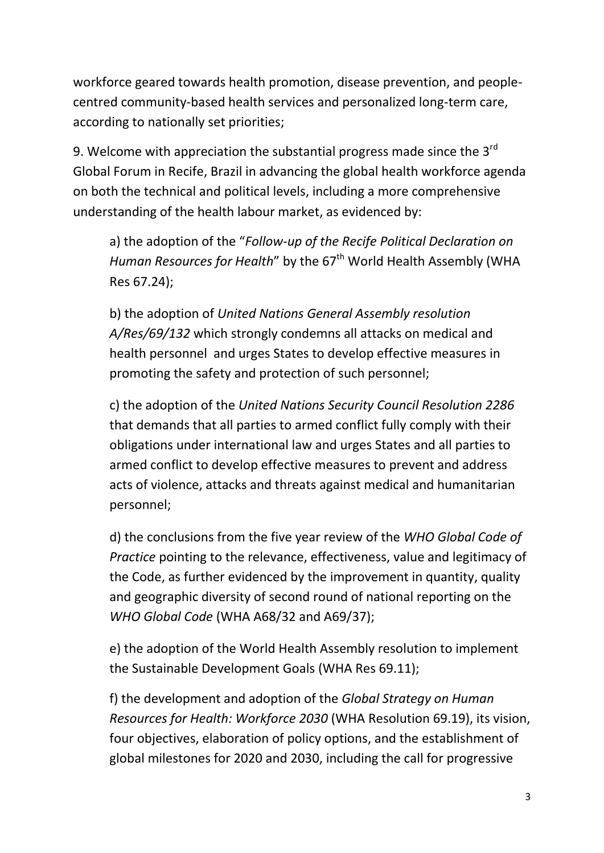workforce geared towards health promotion, disease prevention, and peoplecentred community-based health services and personalized long-term care, according to nationally set priorities;

9. Welcome with appreciation the substantial progress made since the  $3<sup>rd</sup>$ Global Forum in Recife, Brazil in advancing the global health workforce agenda on both the technical and political levels, including a more comprehensive understanding of the health labour market, as evidenced by:

a) the adoption of the "*Follow-up of the Recife Political Declaration on Human Resources for Health*" by the 67<sup>th</sup> World Health Assembly (WHA Res 67.24);

b) the adoption of *United Nations General Assembly resolution A/Res/69/132* which strongly condemns all attacks on medical and health personnel and urges States to develop effective measures in promoting the safety and protection of such personnel;

c) the adoption of the *United Nations Security Council Resolution 2286* that demands that all parties to armed conflict fully comply with their obligations under international law and urges States and all parties to armed conflict to develop effective measures to prevent and address acts of violence, attacks and threats against medical and humanitarian personnel;

d) the conclusions from the five year review of the *WHO Global Code of Practice* pointing to the relevance, effectiveness, value and legitimacy of the Code, as further evidenced by the improvement in quantity, quality and geographic diversity of second round of national reporting on the *WHO Global Code* (WHA A68/32 and A69/37);

e) the adoption of the World Health Assembly resolution to implement the Sustainable Development Goals (WHA Res 69.11);

f) the development and adoption of the *Global Strategy on Human Resources for Health: Workforce 2030* (WHA Resolution 69.19), its vision, four objectives, elaboration of policy options, and the establishment of global milestones for 2020 and 2030, including the call for progressive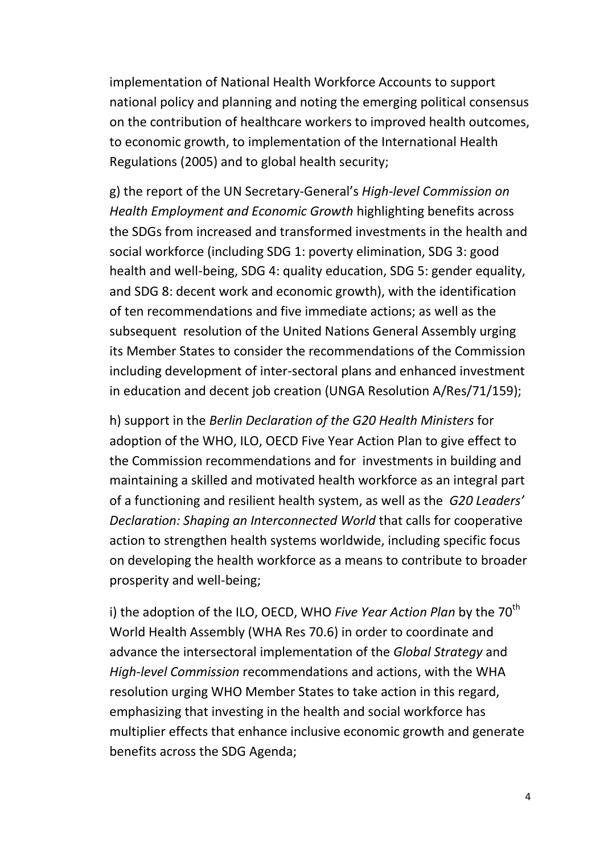implementation of National Health Workforce Accounts to support national policy and planning and noting the emerging political consensus on the contribution of healthcare workers to improved health outcomes, to economic growth, to implementation of the International Health Regulations (2005) and to global health security;

g) the report of the UN Secretary-General's *High-level Commission on Health Employment and Economic Growth* highlighting benefits across the SDGs from increased and transformed investments in the health and social workforce (including SDG 1: poverty elimination, SDG 3: good health and well-being, SDG 4: quality education, SDG 5: gender equality, and SDG 8: decent work and economic growth), with the identification of ten recommendations and five immediate actions; as well as the subsequent resolution of the United Nations General Assembly urging its Member States to consider the recommendations of the Commission including development of inter-sectoral plans and enhanced investment in education and decent job creation (UNGA Resolution A/Res/71/159);

h) support in the *Berlin Declaration of the G20 Health Ministers* for adoption of the WHO, ILO, OECD Five Year Action Plan to give effect to the Commission recommendations and for investments in building and maintaining a skilled and motivated health workforce as an integral part of a functioning and resilient health system, as well as the *G20 Leaders' Declaration: Shaping an Interconnected World* that calls for cooperative action to strengthen health systems worldwide, including specific focus on developing the health workforce as a means to contribute to broader prosperity and well-being;

i) the adoption of the ILO, OECD, WHO *Five Year Action Plan* by the 70<sup>th</sup> World Health Assembly (WHA Res 70.6) in order to coordinate and advance the intersectoral implementation of the *Global Strategy* and *High-level Commission* recommendations and actions, with the WHA resolution urging WHO Member States to take action in this regard, emphasizing that investing in the health and social workforce has multiplier effects that enhance inclusive economic growth and generate benefits across the SDG Agenda;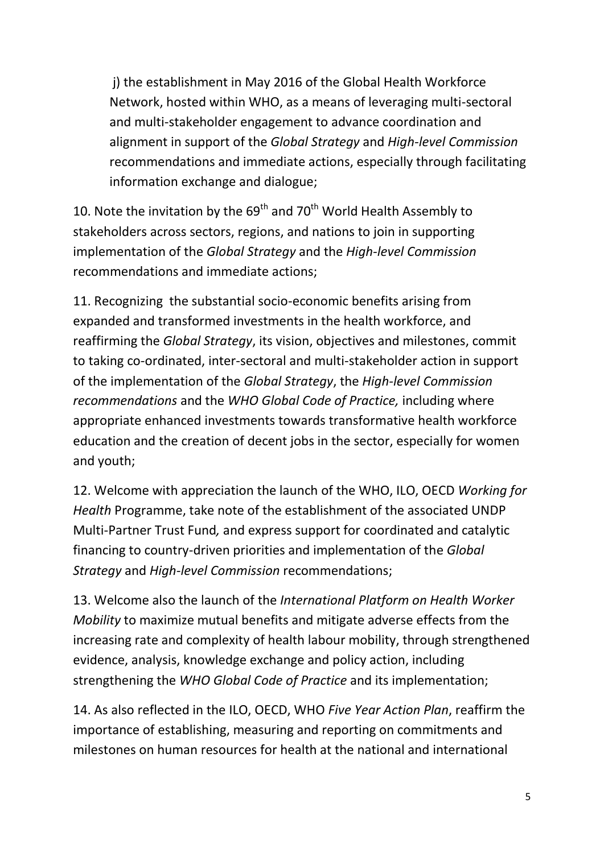j) the establishment in May 2016 of the Global Health Workforce Network, hosted within WHO, as a means of leveraging multi-sectoral and multi-stakeholder engagement to advance coordination and alignment in support of the *Global Strategy* and *High-level Commission* recommendations and immediate actions, especially through facilitating information exchange and dialogue;

10. Note the invitation by the  $69<sup>th</sup>$  and 70<sup>th</sup> World Health Assembly to stakeholders across sectors, regions, and nations to join in supporting implementation of the *Global Strategy* and the *High-level Commission* recommendations and immediate actions;

11. Recognizing the substantial socio-economic benefits arising from expanded and transformed investments in the health workforce, and reaffirming the *Global Strategy*, its vision, objectives and milestones, commit to taking co-ordinated, inter-sectoral and multi-stakeholder action in support of the implementation of the *Global Strategy*, the *High-level Commission recommendations* and the *WHO Global Code of Practice,* including where appropriate enhanced investments towards transformative health workforce education and the creation of decent jobs in the sector, especially for women and youth;

12. Welcome with appreciation the launch of the WHO, ILO, OECD *Working for Health* Programme, take note of the establishment of the associated UNDP Multi-Partner Trust Fund*,* and express support for coordinated and catalytic financing to country-driven priorities and implementation of the *Global Strategy* and *High-level Commission* recommendations;

13. Welcome also the launch of the *International Platform on Health Worker Mobility* to maximize mutual benefits and mitigate adverse effects from the increasing rate and complexity of health labour mobility, through strengthened evidence, analysis, knowledge exchange and policy action, including strengthening the *WHO Global Code of Practice* and its implementation;

14. As also reflected in the ILO, OECD, WHO *Five Year Action Plan*, reaffirm the importance of establishing, measuring and reporting on commitments and milestones on human resources for health at the national and international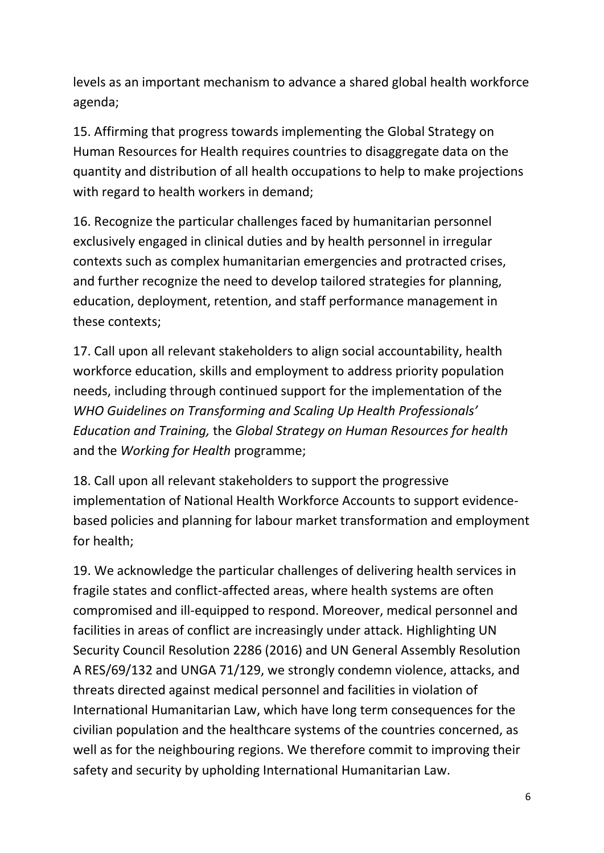levels as an important mechanism to advance a shared global health workforce agenda;

15. Affirming that progress towards implementing the Global Strategy on Human Resources for Health requires countries to disaggregate data on the quantity and distribution of all health occupations to help to make projections with regard to health workers in demand;

16. Recognize the particular challenges faced by humanitarian personnel exclusively engaged in clinical duties and by health personnel in irregular contexts such as complex humanitarian emergencies and protracted crises, and further recognize the need to develop tailored strategies for planning, education, deployment, retention, and staff performance management in these contexts;

17. Call upon all relevant stakeholders to align social accountability, health workforce education, skills and employment to address priority population needs, including through continued support for the implementation of the *WHO Guidelines on Transforming and Scaling Up Health Professionals' Education and Training,* the *Global Strategy on Human Resources for health*  and the *Working for Health* programme;

18. Call upon all relevant stakeholders to support the progressive implementation of National Health Workforce Accounts to support evidencebased policies and planning for labour market transformation and employment for health;

19. We acknowledge the particular challenges of delivering health services in fragile states and conflict-affected areas, where health systems are often compromised and ill-equipped to respond. Moreover, medical personnel and facilities in areas of conflict are increasingly under attack. Highlighting UN Security Council Resolution 2286 (2016) and UN General Assembly Resolution A RES/69/132 and UNGA 71/129, we strongly condemn violence, attacks, and threats directed against medical personnel and facilities in violation of International Humanitarian Law, which have long term consequences for the civilian population and the healthcare systems of the countries concerned, as well as for the neighbouring regions. We therefore commit to improving their safety and security by upholding International Humanitarian Law.